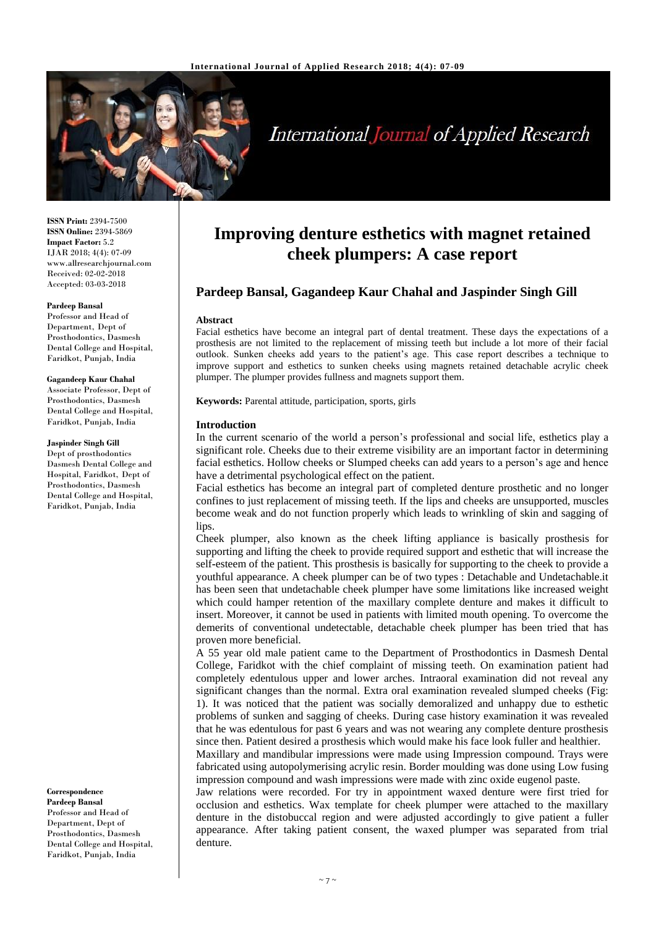

# **International Journal of Applied Research**

**ISSN Print:** 2394-7500 **ISSN Online:** 2394-5869 **Impact Factor:** 5.2 IJAR 2018; 4(4): 07-09 www.allresearchjournal.com Received: 02-02-2018 Accepted: 03-03-2018

#### **Pardeep Bansal**

Professor and Head of Department, Dept of Prosthodontics, Dasmesh Dental College and Hospital, Faridkot, Punjab, India

**Gagandeep Kaur Chahal**

Associate Professor, Dept of Prosthodontics, Dasmesh Dental College and Hospital, Faridkot, Punjab, India

**Jaspinder Singh Gill**

Dept of prosthodontics Dasmesh Dental College and Hospital, Faridkot, Dept of Prosthodontics, Dasmesh Dental College and Hospital, Faridkot, Punjab, India

**Correspondence Pardeep Bansal**

Professor and Head of Department, Dept of Prosthodontics, Dasmesh Dental College and Hospital, Faridkot, Punjab, India

## **Improving denture esthetics with magnet retained cheek plumpers: A case report**

### **Pardeep Bansal, Gagandeep Kaur Chahal and Jaspinder Singh Gill**

#### **Abstract**

Facial esthetics have become an integral part of dental treatment. These days the expectations of a prosthesis are not limited to the replacement of missing teeth but include a lot more of their facial outlook. Sunken cheeks add years to the patient's age. This case report describes a technique to improve support and esthetics to sunken cheeks using magnets retained detachable acrylic cheek plumper. The plumper provides fullness and magnets support them.

**Keywords:** Parental attitude, participation, sports, girls

#### **Introduction**

In the current scenario of the world a person's professional and social life, esthetics play a significant role. Cheeks due to their extreme visibility are an important factor in determining facial esthetics. Hollow cheeks or Slumped cheeks can add years to a person's age and hence have a detrimental psychological effect on the patient.

Facial esthetics has become an integral part of completed denture prosthetic and no longer confines to just replacement of missing teeth. If the lips and cheeks are unsupported, muscles become weak and do not function properly which leads to wrinkling of skin and sagging of lips.

Cheek plumper, also known as the cheek lifting appliance is basically prosthesis for supporting and lifting the cheek to provide required support and esthetic that will increase the self**-**esteem of the patient. This prosthesis is basically for supporting to the cheek to provide a youthful appearance. A cheek plumper can be of two types : Detachable and Undetachable.it has been seen that undetachable cheek plumper have some limitations like increased weight which could hamper retention of the maxillary complete denture and makes it difficult to insert. Moreover, it cannot be used in patients with limited mouth opening. To overcome the demerits of conventional undetectable, detachable cheek plumper has been tried that has proven more beneficial.

A 55 year old male patient came to the Department of Prosthodontics in Dasmesh Dental College, Faridkot with the chief complaint of missing teeth. On examination patient had completely edentulous upper and lower arches. Intraoral examination did not reveal any significant changes than the normal. Extra oral examination revealed slumped cheeks (Fig: 1). It was noticed that the patient was socially demoralized and unhappy due to esthetic problems of sunken and sagging of cheeks. During case history examination it was revealed that he was edentulous for past 6 years and was not wearing any complete denture prosthesis since then. Patient desired a prosthesis which would make his face look fuller and healthier.

Maxillary and mandibular impressions were made using Impression compound. Trays were fabricated using autopolymerising acrylic resin. Border moulding was done using Low fusing impression compound and wash impressions were made with zinc oxide eugenol paste.

Jaw relations were recorded. For try in appointment waxed denture were first tried for occlusion and esthetics. Wax template for cheek plumper were attached to the maxillary denture in the distobuccal region and were adjusted accordingly to give patient a fuller appearance. After taking patient consent, the waxed plumper was separated from trial denture.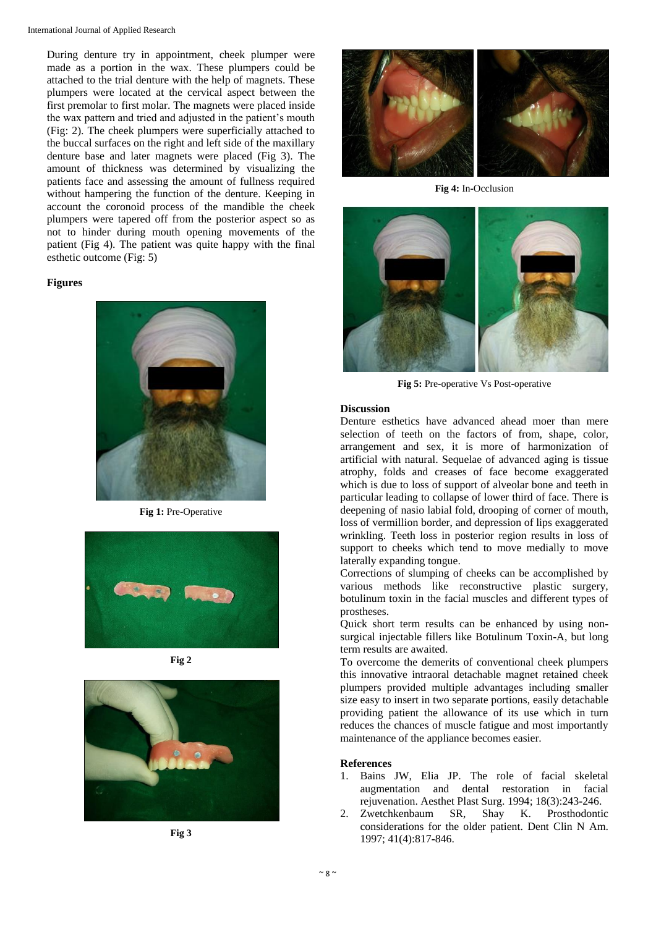During denture try in appointment, cheek plumper were made as a portion in the wax. These plumpers could be attached to the trial denture with the help of magnets. These plumpers were located at the cervical aspect between the first premolar to first molar. The magnets were placed inside the wax pattern and tried and adjusted in the patient's mouth (Fig: 2). The cheek plumpers were superficially attached to the buccal surfaces on the right and left side of the maxillary denture base and later magnets were placed (Fig 3). The amount of thickness was determined by visualizing the patients face and assessing the amount of fullness required without hampering the function of the denture. Keeping in account the coronoid process of the mandible the cheek plumpers were tapered off from the posterior aspect so as not to hinder during mouth opening movements of the patient (Fig 4). The patient was quite happy with the final esthetic outcome (Fig: 5)

#### **Figures**



**Fig 1:** Pre**-**Operative







**Fig 3**



**Fig 4:** In**-**Occlusion



**Fig 5:** Pre**-**operative Vs Post**-**operative

#### **Discussion**

Denture esthetics have advanced ahead moer than mere selection of teeth on the factors of from, shape, color, arrangement and sex, it is more of harmonization of artificial with natural. Sequelae of advanced aging is tissue atrophy, folds and creases of face become exaggerated which is due to loss of support of alveolar bone and teeth in particular leading to collapse of lower third of face. There is deepening of nasio labial fold, drooping of corner of mouth, loss of vermillion border, and depression of lips exaggerated wrinkling. Teeth loss in posterior region results in loss of support to cheeks which tend to move medially to move laterally expanding tongue.

Corrections of slumping of cheeks can be accomplished by various methods like reconstructive plastic surgery, botulinum toxin in the facial muscles and different types of prostheses.

Quick short term results can be enhanced by using nonsurgical injectable fillers like Botulinum Toxin**-**A, but long term results are awaited.

To overcome the demerits of conventional cheek plumpers this innovative intraoral detachable magnet retained cheek plumpers provided multiple advantages including smaller size easy to insert in two separate portions, easily detachable providing patient the allowance of its use which in turn reduces the chances of muscle fatigue and most importantly maintenance of the appliance becomes easier.

#### **References**

- 1. Bains JW, Elia JP. The role of facial skeletal augmentation and dental restoration in facial rejuvenation. Aesthet Plast Surg. 1994; 18(3):243**-**246.
- 2. Zwetchkenbaum SR, Shay K. Prosthodontic considerations for the older patient. Dent Clin N Am. 1997; 41(4):817**-**846.